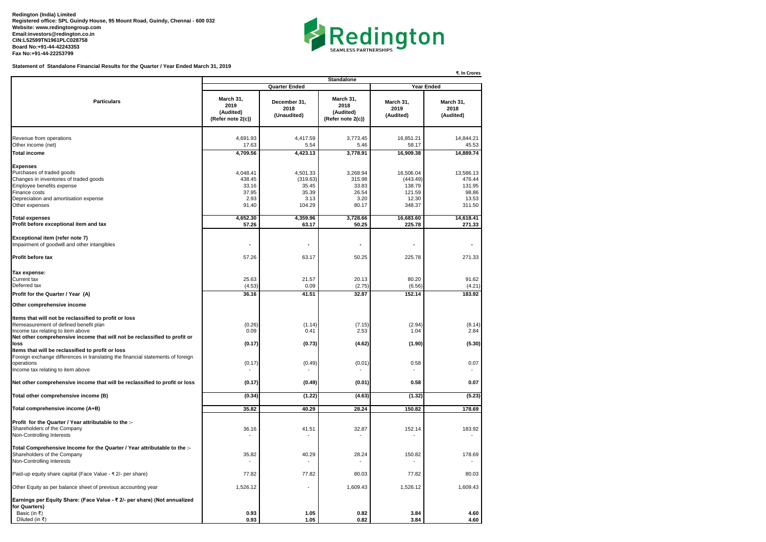**Redington (India) Limited Registered office: SPL Guindy House, 95 Mount Road, Guindy, Chennai - 600 032 Website: www.redingtongroup.com Email:investors@redington.co.in CIN:L52599TN1961PLC028758 Board No:+91-44-42243353 Fax No:+91-44-22253799**



**Statement of Standalone Financial Results for the Quarter / Year Ended March 31, 2019**

|                                                                                                                                                                                                                                                | ₹. In Crores<br><b>Standalone</b>                     |                                                          |                                                       |                                                              |                                                           |  |  |
|------------------------------------------------------------------------------------------------------------------------------------------------------------------------------------------------------------------------------------------------|-------------------------------------------------------|----------------------------------------------------------|-------------------------------------------------------|--------------------------------------------------------------|-----------------------------------------------------------|--|--|
|                                                                                                                                                                                                                                                |                                                       | <b>Quarter Ended</b>                                     | <b>Year Ended</b>                                     |                                                              |                                                           |  |  |
| <b>Particulars</b>                                                                                                                                                                                                                             | March 31,<br>2019<br>(Audited)<br>(Refer note 2(c))   | December 31,<br>2018<br>(Unaudited)                      | March 31,<br>2018<br>(Audited)<br>(Refer note 2(c))   | March 31,<br>2019<br>(Audited)                               | March 31,<br>2018<br>(Audited)                            |  |  |
| Revenue from operations<br>Other income (net)                                                                                                                                                                                                  | 4,691.93<br>17.63                                     | 4,417.59<br>5.54                                         | 3,773.45<br>5.46                                      | 16,851.21<br>58.17                                           | 14,844.21<br>45.53                                        |  |  |
| <b>Total income</b>                                                                                                                                                                                                                            | 4,709.56                                              | 4,423.13                                                 | 3,778.91                                              | 16,909.38                                                    | 14,889.74                                                 |  |  |
| <b>Expenses</b><br>Purchases of traded goods<br>Changes in inventories of traded goods<br>Employee benefits expense<br>Finance costs<br>Depreciation and amortisation expense<br>Other expenses                                                | 4,048.41<br>438.45<br>33.16<br>37.95<br>2.93<br>91.40 | 4,501.33<br>(319.63)<br>35.45<br>35.39<br>3.13<br>104.29 | 3,268.94<br>315.98<br>33.83<br>26.54<br>3.20<br>80.17 | 16,506.04<br>(443.49)<br>138.79<br>121.59<br>12.30<br>348.37 | 13,586.13<br>476.44<br>131.95<br>98.86<br>13.53<br>311.50 |  |  |
| <b>Total expenses</b><br>Profit before exceptional item and tax                                                                                                                                                                                | 4,652.30<br>57.26                                     | 4,359.96<br>63.17                                        | 3,728.66<br>50.25                                     | 16,683.60<br>225.78                                          | 14,618.41<br>271.33                                       |  |  |
| Exceptional item (refer note 7)<br>Impairment of goodwill and other intangibles<br><b>Profit before tax</b>                                                                                                                                    | 57.26                                                 | $\overline{\phantom{a}}$<br>63.17                        | $\overline{\phantom{a}}$<br>50.25                     | $\blacksquare$<br>225.78                                     | 271.33                                                    |  |  |
| Tax expense:<br><b>Current tax</b><br>Deferred tax                                                                                                                                                                                             | 25.63<br>(4.53)                                       | 21.57<br>0.09                                            | 20.13<br>(2.75)                                       | 80.20<br>(6.56)                                              | 91.62<br>(4.21)                                           |  |  |
| Profit for the Quarter / Year (A)                                                                                                                                                                                                              | 36.16                                                 | 41.51                                                    | 32.87                                                 | 152.14                                                       | 183.92                                                    |  |  |
| Other comprehensive income<br>Items that will not be reclassified to profit or loss<br>Remeasurement of defined benefit plan<br>Income tax relating to item above<br>Net other comprehensive income that will not be reclassified to profit or | (0.26)<br>0.09                                        | (1.14)<br>0.41                                           | (7.15)<br>2.53                                        | (2.94)<br>1.04                                               | (8.14)<br>2.84                                            |  |  |
| loss<br>Items that will be reclassified to profit or loss<br>Foreign exchange differences in translating the financial statements of foreign<br>operations<br>Income tax relating to item above                                                | (0.17)<br>(0.17)                                      | (0.73)<br>(0.49)                                         | (4.62)<br>(0.01)                                      | (1.90)<br>0.58<br>$\sim$                                     | (5.30)<br>0.07<br>$\sim$                                  |  |  |
| Net other comprehensive income that will be reclassified to profit or loss                                                                                                                                                                     | (0.17)                                                | (0.49)                                                   | (0.01)                                                | 0.58                                                         | 0.07                                                      |  |  |
| Total other comprehensive income (B)                                                                                                                                                                                                           | (0.34)                                                | (1.22)                                                   | (4.63)                                                | (1.32)                                                       | (5.23)                                                    |  |  |
| Total comprehensive income (A+B)                                                                                                                                                                                                               | 35.82                                                 | 40.29                                                    | 28.24                                                 | 150.82                                                       | 178.69                                                    |  |  |
| Profit for the Quarter / Year attributable to the :-<br>Shareholders of the Company<br>Non-Controlling Interests                                                                                                                               | 36.16                                                 | 41.51                                                    | 32.87                                                 | 152.14                                                       | 183.92                                                    |  |  |
| Total Comprehensive Income for the Quarter / Year attributable to the :-<br>Shareholders of the Company<br>Non-Controlling Interests                                                                                                           | 35.82                                                 | 40.29                                                    | 28.24                                                 | 150.82                                                       | 178.69                                                    |  |  |
| Paid-up equity share capital (Face Value - ₹ 2/- per share)                                                                                                                                                                                    | 77.82                                                 | 77.82                                                    | 80.03                                                 | 77.82                                                        | 80.03                                                     |  |  |
| Other Equity as per balance sheet of previous accounting year                                                                                                                                                                                  | 1,526.12                                              | $\blacksquare$                                           | 1,609.43                                              | 1,526.12                                                     | 1,609.43                                                  |  |  |
| Earnings per Equity Share: (Face Value - ₹ 2/- per share) (Not annualized<br>for Quarters)<br>Basic (in ₹)<br>Diluted (in ₹)                                                                                                                   | 0.93<br>0.93                                          | 1.05<br>1.05                                             | 0.82<br>0.82                                          | 3.84<br>3.84                                                 | 4.60<br>4.60                                              |  |  |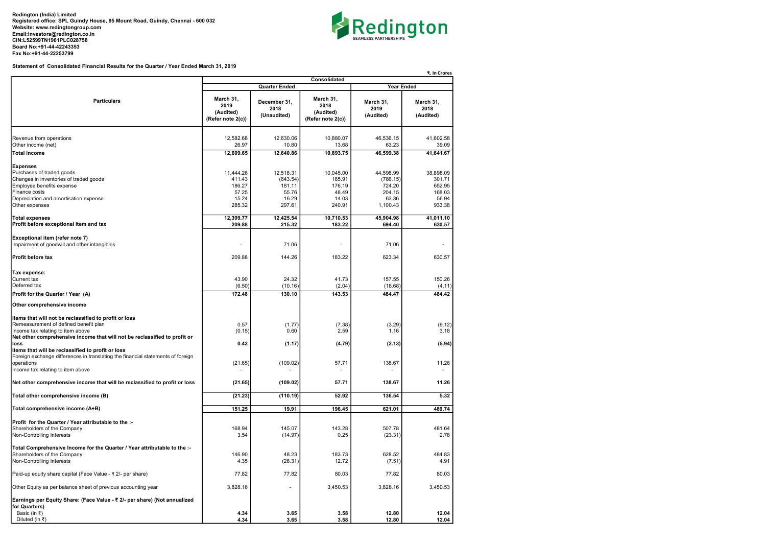Redington (India) Limited Registered office: SPL Guindy House, 95 Mount Road, Guindy, Chennai - 600 032 Website: www.redingtongroup.com Email:investors@redington.co.in CIN:L52599TN1961PLC028758 Board No:+91-44-42243353 Fax No:+91-44-22253799



Statement of Consolidated Financial Results for the Quarter / Year Ended March 31, 2019

|                                                                                                                                                                                                                                                                               | ₹. In Crores                                              |                                                             |                                                           |                                                                |                                                            |  |  |
|-------------------------------------------------------------------------------------------------------------------------------------------------------------------------------------------------------------------------------------------------------------------------------|-----------------------------------------------------------|-------------------------------------------------------------|-----------------------------------------------------------|----------------------------------------------------------------|------------------------------------------------------------|--|--|
|                                                                                                                                                                                                                                                                               | Consolidated<br><b>Year Ended</b>                         |                                                             |                                                           |                                                                |                                                            |  |  |
|                                                                                                                                                                                                                                                                               |                                                           | <b>Quarter Ended</b>                                        |                                                           |                                                                |                                                            |  |  |
| <b>Particulars</b>                                                                                                                                                                                                                                                            | March 31,<br>2019<br>(Audited)<br>(Refer note 2(c))       | December 31.<br>2018<br>(Unaudited)                         | March 31,<br>2018<br>(Audited)<br>(Refer note 2(c))       | March 31.<br>2019<br>(Audited)                                 | March 31,<br>2018<br>(Audited)                             |  |  |
| Revenue from operations<br>Other income (net)                                                                                                                                                                                                                                 | 12,582.68<br>26.97                                        | 12,630.06<br>10.80                                          | 10,880.07<br>13.68                                        | 46,536.15<br>63.23                                             | 41,602.58<br>39.09                                         |  |  |
| <b>Total income</b>                                                                                                                                                                                                                                                           | 12,609.65                                                 | 12,640.86                                                   | 10,893.75                                                 | 46,599.38                                                      | 41,641.67                                                  |  |  |
|                                                                                                                                                                                                                                                                               |                                                           |                                                             |                                                           |                                                                |                                                            |  |  |
| <b>Expenses</b><br>Purchases of traded goods<br>Changes in inventories of traded goods<br>Employee benefits expense<br>Finance costs<br>Depreciation and amortisation expense<br>Other expenses                                                                               | 11,444.26<br>411.43<br>186.27<br>57.25<br>15.24<br>285.32 | 12,518.31<br>(643.54)<br>181.11<br>55.76<br>16.29<br>297.61 | 10,045.00<br>185.91<br>176.19<br>48.49<br>14.03<br>240.91 | 44,598.99<br>(786.15)<br>724.20<br>204.15<br>63.36<br>1,100.43 | 38,898.09<br>301.71<br>652.95<br>168.03<br>56.94<br>933.38 |  |  |
|                                                                                                                                                                                                                                                                               |                                                           |                                                             |                                                           |                                                                |                                                            |  |  |
| <b>Total expenses</b><br>Profit before exceptional item and tax                                                                                                                                                                                                               | 12,399.77<br>209.88                                       | 12,425.54<br>215.32                                         | 10,710.53<br>183.22                                       | 45,904.98<br>694.40                                            | 41,011.10<br>630.57                                        |  |  |
| Exceptional item (refer note 7)<br>Impairment of goodwill and other intangibles                                                                                                                                                                                               |                                                           | 71.06                                                       |                                                           | 71.06                                                          |                                                            |  |  |
| <b>Profit before tax</b>                                                                                                                                                                                                                                                      | 209.88                                                    | 144.26                                                      | 183.22                                                    | 623.34                                                         | 630.57                                                     |  |  |
| Tax expense:<br><b>Current tax</b><br>Deferred tax<br>Profit for the Quarter / Year (A)                                                                                                                                                                                       | 43.90<br>(6.50)<br>172.48                                 | 24.32<br>(10.16)<br>130.10                                  | 41.73<br>(2.04)<br>143.53                                 | 157.55<br>(18.68)<br>484.47                                    | 150.26<br>(4.11)<br>484.42                                 |  |  |
|                                                                                                                                                                                                                                                                               |                                                           |                                                             |                                                           |                                                                |                                                            |  |  |
| Other comprehensive income                                                                                                                                                                                                                                                    |                                                           |                                                             |                                                           |                                                                |                                                            |  |  |
| Items that will not be reclassified to profit or loss<br>Remeasurement of defined benefit plan<br>Income tax relating to item above<br>Net other comprehensive income that will not be reclassified to profit or<br>loss<br>Items that will be reclassified to profit or loss | 0.57<br>(0.15)<br>0.42                                    | (1.77)<br>0.60<br>(1.17)                                    | (7.38)<br>2.59<br>(4.79)                                  | (3.29)<br>1.16<br>(2.13)                                       | (9.12)<br>3.18<br>(5.94)                                   |  |  |
| Foreign exchange differences in translating the financial statements of foreign<br>operations<br>Income tax relating to item above                                                                                                                                            | (21.65)                                                   | (109.02)                                                    | 57.71                                                     | 138.67                                                         | 11.26                                                      |  |  |
| Net other comprehensive income that will be reclassified to profit or loss                                                                                                                                                                                                    | (21.65)                                                   | (109.02)                                                    | 57.71                                                     | 138.67                                                         | 11.26                                                      |  |  |
| Total other comprehensive income (B)                                                                                                                                                                                                                                          | (21.23)                                                   | (110.19)                                                    | 52.92                                                     | 136.54                                                         | 5.32                                                       |  |  |
| Total comprehensive income (A+B)                                                                                                                                                                                                                                              | 151.25                                                    | 19.91                                                       | 196.45                                                    | 621.01                                                         | 489.74                                                     |  |  |
| Profit for the Quarter / Year attributable to the :-<br>Shareholders of the Company<br>Non-Controlling Interests                                                                                                                                                              | 168.94<br>3.54                                            | 145.07<br>(14.97)                                           | 143.28<br>0.25                                            | 507.78<br>(23.31)                                              | 481.64<br>2.78                                             |  |  |
| Total Comprehensive Income for the Quarter / Year attributable to the :-<br>Shareholders of the Company<br>Non-Controlling Interests                                                                                                                                          | 146.90<br>4.35                                            | 48.23<br>(28.31)                                            | 183.73<br>12.72                                           | 628.52<br>(7.51)                                               | 484.83<br>4.91                                             |  |  |
| Paid-up equity share capital (Face Value - ₹ 2/- per share)                                                                                                                                                                                                                   | 77.82                                                     | 77.82                                                       | 80.03                                                     | 77.82                                                          | 80.03                                                      |  |  |
| Other Equity as per balance sheet of previous accounting year                                                                                                                                                                                                                 | 3,828.16                                                  | ٠                                                           | 3,450.53                                                  | 3,828.16                                                       | 3,450.53                                                   |  |  |
| Earnings per Equity Share: (Face Value - ₹ 2/- per share) (Not annualized<br>for Quarters)<br>Basic (in ₹)<br>Diluted (in ₹)                                                                                                                                                  | 4.34<br>4.34                                              | 3.65<br>3.65                                                | 3.58<br>3.58                                              | 12.80<br>12.80                                                 | 12.04<br>12.04                                             |  |  |